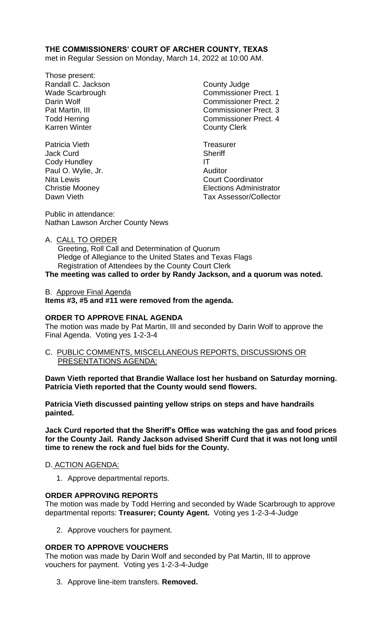# **THE COMMISSIONERS' COURT OF ARCHER COUNTY, TEXAS**

met in Regular Session on Monday, March 14, 2022 at 10:00 AM.

- Those present: Randall C. Jackson County Judge Karren Winter **County Clerk**
- Patricia Vieth Treasurer Jack Curd **Sheriff** Cody Hundley **IT** Paul O. Wylie, Jr. **Auditor** Auditor

Wade Scarbrough Commissioner Prect. 1 Darin Wolf **Commissioner Prect.** 2 Pat Martin, III Commissioner Prect. 3 Todd Herring Todd Exercise Commissioner Prect. 4

Nita Lewis **Nita Lewis** Court Coordinator Christie Mooney Elections Administrator Dawn Vieth Tax Assessor/Collector

Public in attendance: Nathan Lawson Archer County News

A. CALL TO ORDER

 Greeting, Roll Call and Determination of Quorum Pledge of Allegiance to the United States and Texas Flags Registration of Attendees by the County Court Clerk

**The meeting was called to order by Randy Jackson, and a quorum was noted.**

B. Approve Final Agenda **Items #3, #5 and #11 were removed from the agenda.**

# **ORDER TO APPROVE FINAL AGENDA**

The motion was made by Pat Martin, III and seconded by Darin Wolf to approve the Final Agenda. Voting yes 1-2-3-4

C. PUBLIC COMMENTS, MISCELLANEOUS REPORTS, DISCUSSIONS OR PRESENTATIONS AGENDA:

**Dawn Vieth reported that Brandie Wallace lost her husband on Saturday morning. Patricia Vieth reported that the County would send flowers.**

**Patricia Vieth discussed painting yellow strips on steps and have handrails painted.**

**Jack Curd reported that the Sheriff's Office was watching the gas and food prices for the County Jail. Randy Jackson advised Sheriff Curd that it was not long until time to renew the rock and fuel bids for the County.**

# D. ACTION AGENDA:

1. Approve departmental reports.

# **ORDER APPROVING REPORTS**

The motion was made by Todd Herring and seconded by Wade Scarbrough to approve departmental reports: **Treasurer; County Agent.** Voting yes 1-2-3-4-Judge

2. Approve vouchers for payment.

# **ORDER TO APPROVE VOUCHERS**

The motion was made by Darin Wolf and seconded by Pat Martin, III to approve vouchers for payment. Voting yes 1-2-3-4-Judge

3. Approve line-item transfers. **Removed.**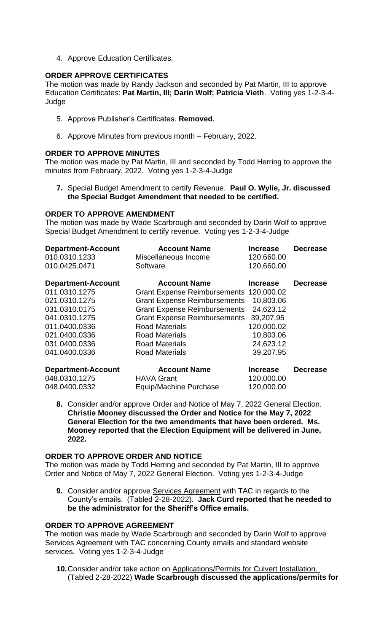4. Approve Education Certificates.

### **ORDER APPROVE CERTIFICATES**

The motion was made by Randy Jackson and seconded by Pat Martin, III to approve Education Certificates: **Pat Martin, III; Darin Wolf; Patricia Vieth**. Voting yes 1-2-3-4- Judge

- 5. Approve Publisher's Certificates. **Removed.**
- 6. Approve Minutes from previous month February, 2022.

### **ORDER TO APPROVE MINUTES**

The motion was made by Pat Martin, III and seconded by Todd Herring to approve the minutes from February, 2022. Voting yes 1-2-3-4-Judge

**7.** Special Budget Amendment to certify Revenue. **Paul O. Wylie, Jr. discussed the Special Budget Amendment that needed to be certified.**

#### **ORDER TO APPROVE AMENDMENT**

The motion was made by Wade Scarbrough and seconded by Darin Wolf to approve Special Budget Amendment to certify revenue. Voting yes 1-2-3-4-Judge

| <b>Department-Account</b>                                   | <b>Account Name</b>                                                                                   | <b>Increase</b>              | <b>Decrease</b> |
|-------------------------------------------------------------|-------------------------------------------------------------------------------------------------------|------------------------------|-----------------|
| 010.0310.1233                                               | Miscellaneous Income                                                                                  | 120,660.00                   |                 |
| 010.0425.0471                                               | Software                                                                                              | 120,660.00                   |                 |
| <b>Department-Account</b><br>011.0310.1275<br>021.0310.1275 | <b>Account Name</b><br>Grant Expense Reimbursements 120,000.02<br><b>Grant Expense Reimbursements</b> | <b>Increase</b><br>10,803.06 | <b>Decrease</b> |
| 031.0310.0175                                               | <b>Grant Expense Reimbursements</b>                                                                   | 24,623.12                    |                 |
| 041.0310.1275                                               | <b>Grant Expense Reimbursements</b>                                                                   | 39,207.95                    |                 |
| 011.0400.0336                                               | <b>Road Materials</b>                                                                                 | 120,000.02                   |                 |
| 021.0400.0336                                               | <b>Road Materials</b>                                                                                 | 10,803.06                    |                 |
| 031.0400.0336                                               | <b>Road Materials</b>                                                                                 | 24,623.12                    |                 |
| 041.0400.0336                                               | <b>Road Materials</b>                                                                                 | 39,207.95                    |                 |
| <b>Department-Account</b>                                   | <b>Account Name</b>                                                                                   | <b>Increase</b>              | <b>Decrease</b> |
| 048.0310.1275                                               | <b>HAVA Grant</b>                                                                                     | 120,000.00                   |                 |
| 048.0400.0332                                               | Equip/Machine Purchase                                                                                | 120,000.00                   |                 |

**8.** Consider and/or approve Order and Notice of May 7, 2022 General Election. **Christie Mooney discussed the Order and Notice for the May 7, 2022 General Election for the two amendments that have been ordered. Ms. Mooney reported that the Election Equipment will be delivered in June, 2022.**

### **ORDER TO APPROVE ORDER AND NOTICE**

The motion was made by Todd Herring and seconded by Pat Martin, III to approve Order and Notice of May 7, 2022 General Election. Voting yes 1-2-3-4-Judge

**9.** Consider and/or approve Services Agreement with TAC in regards to the County's emails. (Tabled 2-28-2022). **Jack Curd reported that he needed to be the administrator for the Sheriff's Office emails.**

### **ORDER TO APPROVE AGREEMENT**

The motion was made by Wade Scarbrough and seconded by Darin Wolf to approve Services Agreement with TAC concerning County emails and standard website services. Voting yes 1-2-3-4-Judge

**10.**Consider and/or take action on Applications/Permits for Culvert Installation. (Tabled 2-28-2022) **Wade Scarbrough discussed the applications/permits for**